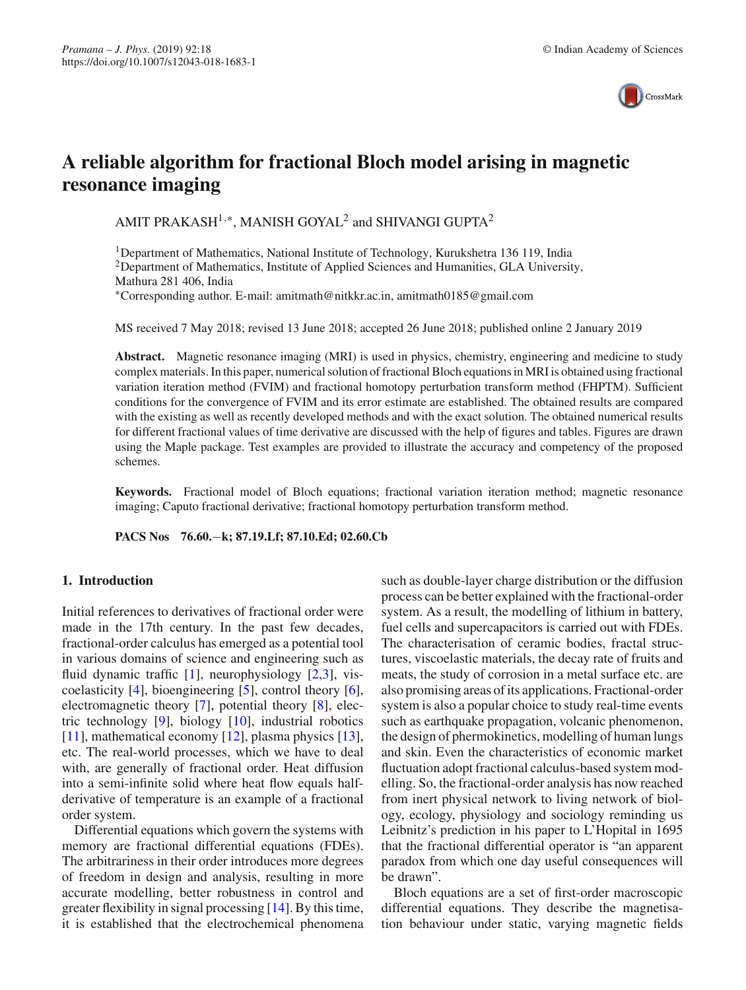

# **A reliable algorithm for fractional Bloch model arising in magnetic resonance imaging**

AMIT PRAKASH<sup>1,∗</sup>, MANISH GOYAL<sup>2</sup> and SHIVANGI GUPTA<sup>2</sup>

<sup>1</sup>Department of Mathematics, National Institute of Technology, Kurukshetra 136 119, India <sup>2</sup>Department of Mathematics, Institute of Applied Sciences and Humanities, GLA University, Mathura 281 406, India

∗Corresponding author. E-mail: amitmath@nitkkr.ac.in, amitmath0185@gmail.com

MS received 7 May 2018; revised 13 June 2018; accepted 26 June 2018; published online 2 January 2019

**Abstract.** Magnetic resonance imaging (MRI) is used in physics, chemistry, engineering and medicine to study complex materials. In this paper, numerical solution of fractional Bloch equations in MRI is obtained using fractional variation iteration method (FVIM) and fractional homotopy perturbation transform method (FHPTM). Sufficient conditions for the convergence of FVIM and its error estimate are established. The obtained results are compared with the existing as well as recently developed methods and with the exact solution. The obtained numerical results for different fractional values of time derivative are discussed with the help of figures and tables. Figures are drawn using the Maple package. Test examples are provided to illustrate the accuracy and competency of the proposed schemes.

**Keywords.** Fractional model of Bloch equations; fractional variation iteration method; magnetic resonance imaging; Caputo fractional derivative; fractional homotopy perturbation transform method.

**PACS Nos 76.60.**−**k; 87.19.Lf; 87.10.Ed; 02.60.Cb**

# <span id="page-0-0"></span>**1. Introduction**

Initial references to derivatives of fractional order were made in the 17th century. In the past few decades, fractional-order calculus has emerged as a potential tool in various domains of science and engineering such as fluid dynamic traffic [\[1](#page-9-0)], neurophysiology [\[2](#page-9-1)[,3\]](#page-9-2), viscoelasticity  $[4]$ , bioengineering  $[5]$ , control theory  $[6]$  $[6]$ , electromagnetic theory [\[7\]](#page-9-6), potential theory [\[8\]](#page-9-7), electric technology [\[9](#page-9-8)], biology [\[10](#page-9-9)], industrial robotics [\[11](#page-9-10)], mathematical economy [\[12\]](#page-9-11), plasma physics [\[13](#page-9-12)], etc. The real-world processes, which we have to deal with, are generally of fractional order. Heat diffusion into a semi-infinite solid where heat flow equals halfderivative of temperature is an example of a fractional order system.

Differential equations which govern the systems with memory are fractional differential equations (FDEs). The arbitrariness in their order introduces more degrees of freedom in design and analysis, resulting in more accurate modelling, better robustness in control and greater flexibility in signal processing [\[14\]](#page-9-13). By this time, it is established that the electrochemical phenomena such as double-layer charge distribution or the diffusion process can be better explained with the fractional-order system. As a result, the modelling of lithium in battery, fuel cells and supercapacitors is carried out with FDEs. The characterisation of ceramic bodies, fractal structures, viscoelastic materials, the decay rate of fruits and meats, the study of corrosion in a metal surface etc. are also promising areas of its applications. Fractional-order system is also a popular choice to study real-time events such as earthquake propagation, volcanic phenomenon, the design of phermokinetics, modelling of human lungs and skin. Even the characteristics of economic market fluctuation adopt fractional calculus-based system modelling. So, the fractional-order analysis has now reached from inert physical network to living network of biology, ecology, physiology and sociology reminding us Leibnitz's prediction in his paper to L'Hopital in 1695 that the fractional differential operator is "an apparent paradox from which one day useful consequences will be drawn".

Bloch equations are a set of first-order macroscopic differential equations. They describe the magnetisation behaviour under static, varying magnetic fields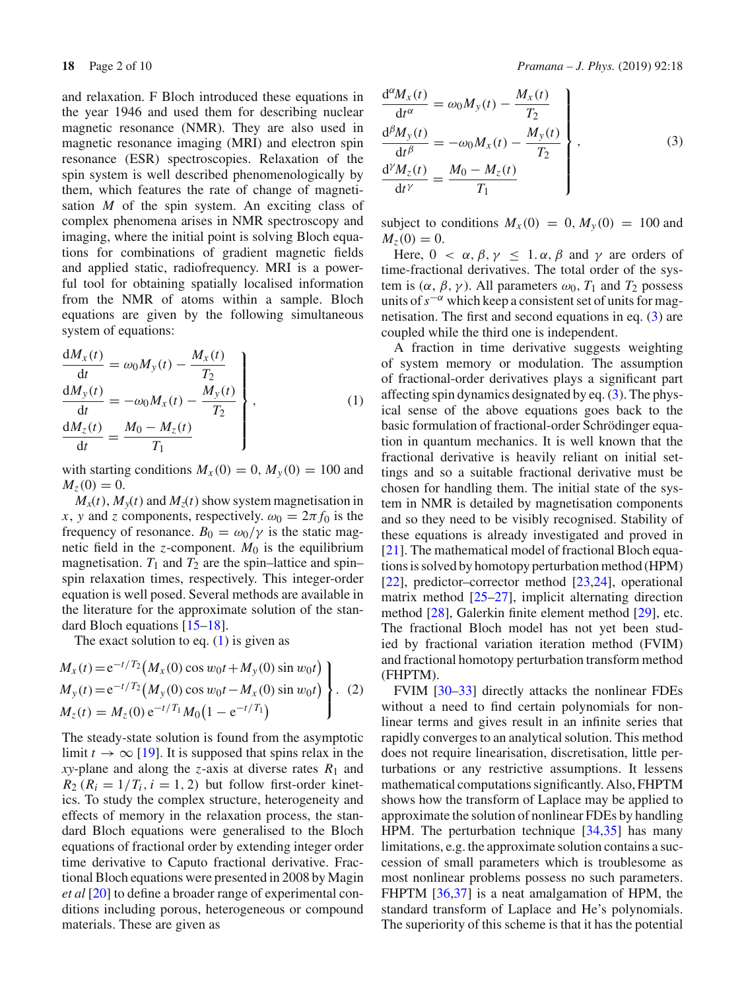and relaxation. F Bloch introduced these equations in the year 1946 and used them for describing nuclear magnetic resonance (NMR). They are also used in magnetic resonance imaging (MRI) and electron spin resonance (ESR) spectroscopies. Relaxation of the spin system is well described phenomenologically by them, which features the rate of change of magnetisation *M* of the spin system. An exciting class of complex phenomena arises in NMR spectroscopy and imaging, where the initial point is solving Bloch equations for combinations of gradient magnetic fields and applied static, radiofrequency. MRI is a powerful tool for obtaining spatially localised information from the NMR of atoms within a sample. Bloch equations are given by the following simultaneous system of equations:

<span id="page-1-0"></span>
$$
\frac{dM_x(t)}{dt} = \omega_0 M_y(t) - \frac{M_x(t)}{T_2}
$$
\n
$$
\frac{dM_y(t)}{dt} = -\omega_0 M_x(t) - \frac{M_y(t)}{T_2}
$$
\n
$$
\frac{dM_z(t)}{dt} = \frac{M_0 - M_z(t)}{T_1}
$$
\n(1)

with starting conditions  $M_X(0) = 0$ ,  $M_Y(0) = 100$  and  $M_z(0) = 0.$ 

 $M_x(t)$ ,  $M_y(t)$  and  $M_z(t)$  show system magnetisation in *x*, *y* and *z* components, respectively.  $\omega_0 = 2\pi f_0$  is the frequency of resonance.  $B_0 = \omega_0/\gamma$  is the static magnetic field in the *z*-component.  $M_0$  is the equilibrium magnetisation.  $T_1$  and  $T_2$  are the spin–lattice and spin– spin relaxation times, respectively. This integer-order equation is well posed. Several methods are available in the literature for the approximate solution of the standard Bloch equations [\[15](#page-9-14)[–18](#page-9-15)].

The exact solution to eq.  $(1)$  is given as

$$
\begin{aligned}\nM_x(t) &= e^{-t/T_2} \big( M_x(0) \cos w_0 t + M_y(0) \sin w_0 t \big) \\
M_y(t) &= e^{-t/T_2} \big( M_y(0) \cos w_0 t - M_x(0) \sin w_0 t \big) \\
M_z(t) &= M_z(0) \, e^{-t/T_1} M_0 \big( 1 - e^{-t/T_1} \big)\n\end{aligned}
$$
\n(2)

The steady-state solution is found from the asymptotic limit  $t \to \infty$  [\[19](#page-9-16)]. It is supposed that spins relax in the *xy*-plane and along the *z*-axis at diverse rates  $R_1$  and  $R_2$  ( $R_i = 1/T_i$ ,  $i = 1, 2$ ) but follow first-order kinetics. To study the complex structure, heterogeneity and effects of memory in the relaxation process, the standard Bloch equations were generalised to the Bloch equations of fractional order by extending integer order time derivative to Caputo fractional derivative. Fractional Bloch equations were presented in 2008 by Magin *et al* [\[20](#page-9-17)] to define a broader range of experimental conditions including porous, heterogeneous or compound materials. These are given as

<span id="page-1-1"></span>
$$
\frac{d^{\alpha}M_{x}(t)}{dt^{\alpha}} = \omega_0 M_{y}(t) - \frac{M_{x}(t)}{T_2}
$$
\n
$$
\frac{d^{\beta}M_{y}(t)}{dt^{\beta}} = -\omega_0 M_{x}(t) - \frac{M_{y}(t)}{T_2}
$$
\n
$$
\frac{d^{\gamma}M_{z}(t)}{dt^{\gamma}} = \frac{M_0 - M_{z}(t)}{T_1}
$$
\n(3)

subject to conditions  $M_X(0) = 0$ ,  $M_Y(0) = 100$  and  $M_z(0) = 0.$ 

Here,  $0 < \alpha, \beta, \gamma \leq 1, \alpha, \beta$  and  $\gamma$  are orders of time-fractional derivatives. The total order of the system is  $(\alpha, \beta, \gamma)$ . All parameters  $\omega_0$ ,  $T_1$  and  $T_2$  possess units of*s*−<sup>α</sup> which keep a consistent set of units for magnetisation. The first and second equations in eq. [\(3\)](#page-1-1) are coupled while the third one is independent.

A fraction in time derivative suggests weighting of system memory or modulation. The assumption of fractional-order derivatives plays a significant part affecting spin dynamics designated by eq. [\(3\)](#page-1-1). The physical sense of the above equations goes back to the basic formulation of fractional-order Schrödinger equation in quantum mechanics. It is well known that the fractional derivative is heavily reliant on initial settings and so a suitable fractional derivative must be chosen for handling them. The initial state of the system in NMR is detailed by magnetisation components and so they need to be visibly recognised. Stability of these equations is already investigated and proved in [\[21](#page-9-18)]. The mathematical model of fractional Bloch equations is solved by homotopy perturbation method (HPM) [\[22](#page-9-19)], predictor–corrector method [\[23](#page-9-20)[,24](#page-9-21)], operational matrix method [\[25](#page-9-22)[–27\]](#page-9-23), implicit alternating direction method [\[28](#page-9-24)], Galerkin finite element method [\[29](#page-9-25)], etc. The fractional Bloch model has not yet been studied by fractional variation iteration method (FVIM) and fractional homotopy perturbation transform method (FHPTM).

FVIM [\[30](#page-9-26)[–33](#page-9-27)] directly attacks the nonlinear FDEs without a need to find certain polynomials for nonlinear terms and gives result in an infinite series that rapidly converges to an analytical solution. This method does not require linearisation, discretisation, little perturbations or any restrictive assumptions. It lessens mathematical computations significantly. Also, FHPTM shows how the transform of Laplace may be applied to approximate the solution of nonlinear FDEs by handling HPM. The perturbation technique [\[34](#page-9-28)[,35\]](#page-9-29) has many limitations, e.g. the approximate solution contains a succession of small parameters which is troublesome as most nonlinear problems possess no such parameters. FHPTM [\[36](#page-9-30)[,37](#page-9-31)] is a neat amalgamation of HPM, the standard transform of Laplace and He's polynomials. The superiority of this scheme is that it has the potential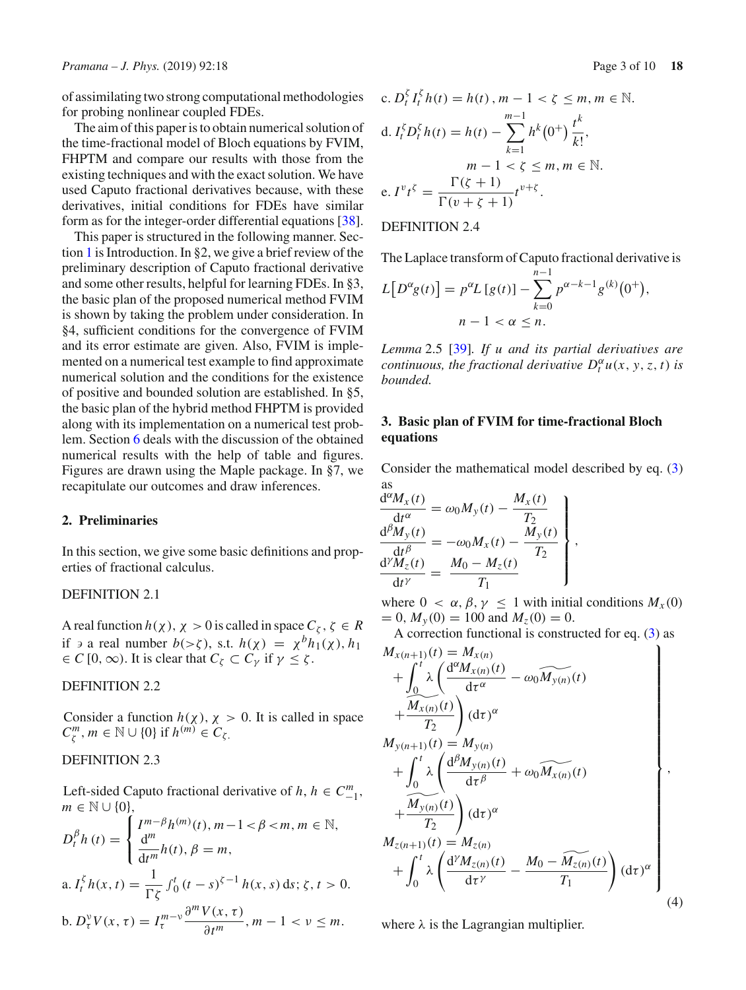of assimilating two strong computational methodologies for probing nonlinear coupled FDEs.

The aim of this paper is to obtain numerical solution of the time-fractional model of Bloch equations by FVIM, FHPTM and compare our results with those from the existing techniques and with the exact solution. We have used Caputo fractional derivatives because, with these derivatives, initial conditions for FDEs have similar form as for the integer-order differential equations [\[38](#page-9-32)].

This paper is structured in the following manner. Section [1](#page-0-0) is Introduction. In §2, we give a brief review of the preliminary description of Caputo fractional derivative and some other results, helpful for learning FDEs. In §3, the basic plan of the proposed numerical method FVIM is shown by taking the problem under consideration. In §4, sufficient conditions for the convergence of FVIM and its error estimate are given. Also, FVIM is implemented on a numerical test example to find approximate numerical solution and the conditions for the existence of positive and bounded solution are established. In §5, the basic plan of the hybrid method FHPTM is provided along with its implementation on a numerical test problem. Section [6](#page-7-0) deals with the discussion of the obtained numerical results with the help of table and figures. Figures are drawn using the Maple package. In §7, we recapitulate our outcomes and draw inferences.

## **2. Preliminaries**

In this section, we give some basic definitions and properties of fractional calculus.

# DEFINITION 2.1

A real function  $h(\chi)$ ,  $\chi > 0$  is called in space  $C_{\zeta}$ ,  $\zeta \in R$ if  $\vartheta$  a real number  $b(\gt;\zeta)$ , s.t.  $h(\chi) = \chi^b h_1(\chi)$ ,  $h_1$  $\in C$  [0,  $\infty$ ). It is clear that  $C_{\zeta} \subset C_{\gamma}$  if  $\gamma \leq \zeta$ .

# DEFINITION 2.2

Consider a function  $h(\chi)$ ,  $\chi > 0$ . It is called in space  $C_{\zeta}^{m}$ ,  $m \in \mathbb{N} \cup \{0\}$  if  $h^{(m)} \in C_{\zeta}$ .

# DEFINITION 2.3

Left-sided Caputo fractional derivative of *h*,  $h \in C_{-1}^m$ ,  $m \in \mathbb{N} \cup \{0\},\$ 

$$
D_t^{\beta} h(t) = \begin{cases} I^{m-\beta} h^{(m)}(t), m-1 < \beta < m, m \in \mathbb{N}, \\ \frac{d^m}{dt^m} h(t), \beta = m, \end{cases}
$$
  
a.  $I_t^{\zeta} h(x, t) = \frac{1}{\Gamma \zeta} \int_0^t (t-s)^{\zeta-1} h(x, s) ds; \zeta, t > 0.$   
b.  $D_t^{\nu} V(x, \tau) = I_t^{m-\nu} \frac{\partial^m V(x, \tau)}{\partial t^m}, m-1 < \nu \le m.$ 

c. 
$$
D_t^{\zeta} I_t^{\zeta} h(t) = h(t), m - 1 < \zeta \le m, m \in \mathbb{N}.
$$
  
d.  $I_t^{\zeta} D_t^{\zeta} h(t) = h(t) - \sum_{k=1}^{m-1} h^k (0^+) \frac{t^k}{k!},$   
 $m - 1 < \zeta \le m, m \in \mathbb{N}.$   
e.  $I^v t^{\zeta} = \frac{\Gamma(\zeta + 1)}{\Gamma(v + \zeta + 1)} t^{v + \zeta}.$ 

# DEFINITION 2.4

The Laplace transform of Caputo fractional derivative is

$$
L[D^{\alpha}g(t)] = p^{\alpha}L[g(t)] - \sum_{k=0}^{n-1} p^{\alpha-k-1}g^{(k)}(0^+),
$$
  
 
$$
n-1 < \alpha \le n.
$$

*Lemma* 2.5 [\[39\]](#page-9-33)*. If u and its partial derivatives are continuous, the fractional derivative*  $D_t^{\alpha} u(x, y, z, t)$  *is bounded.*

# **3. Basic plan of FVIM for time-fractional Bloch equations**

Consider the mathematical model described by eq. [\(3\)](#page-1-1) as

$$
\frac{d^{\alpha}M_{x}(t)}{dt^{\alpha}} = \omega_0 M_{y}(t) - \frac{M_{x}(t)}{T_2}
$$
\n
$$
\frac{d^{\beta}M_{y}(t)}{dt^{\beta}} = -\omega_0 M_{x}(t) - \frac{M_{y}(t)}{T_2}
$$
\n
$$
\frac{d^{\gamma}M_{z}(t)}{dt^{\gamma}} = \frac{M_0 - M_{z}(t)}{T_1}
$$

where  $0 < \alpha, \beta, \gamma \leq 1$  with initial conditions  $M_{\gamma}(0)$  $= 0$ ,  $M_y(0) = 100$  and  $M_z(0) = 0$ .

A correction functional is constructed for eq. [\(3\)](#page-1-1) as

<span id="page-2-0"></span>
$$
M_{x(n+1)}(t) = M_{x(n)} \n+ \int_{0}^{t} \lambda \left( \frac{d^{\alpha} M_{x(n)}(t)}{d\tau^{\alpha}} - \omega_{0} \widetilde{M}_{y(n)}(t) \right. \n+ \frac{\widetilde{M}_{x(n)}(t)}{T_{2}} \right) (d\tau)^{\alpha} \nM_{y(n+1)}(t) = M_{y(n)} \n+ \int_{0}^{t} \lambda \left( \frac{d^{\beta} M_{y(n)}(t)}{d\tau^{\beta}} + \omega_{0} \widetilde{M}_{x(n)}(t) \right. \n+ \frac{\widetilde{M}_{y(n)}(t)}{T_{2}} \right) (d\tau)^{\alpha} \nM_{z(n+1)}(t) = M_{z(n)} \n+ \int_{0}^{t} \lambda \left( \frac{d^{y} M_{z(n)}(t)}{d\tau^{y}} - \frac{M_{0} - \widetilde{M}_{z(n)}(t)}{T_{1}} \right) (d\tau)^{\alpha} \tag{4}
$$

where  $\lambda$  is the Lagrangian multiplier.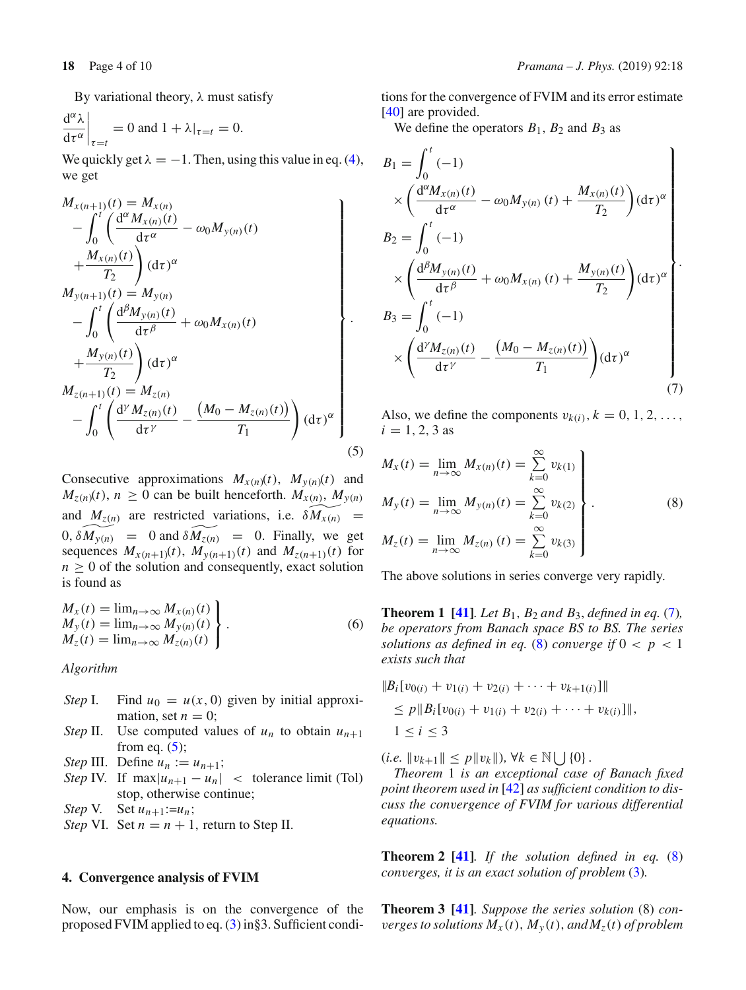By variational theory,  $λ$  must satisfy

$$
\left. \frac{d^{\alpha} \lambda}{d\tau^{\alpha}} \right|_{\tau=t} = 0 \text{ and } 1 + \lambda|_{\tau=t} = 0.
$$

We quickly get  $\lambda = -1$ . Then, using this value in eq. [\(4\)](#page-2-0), we get

<span id="page-3-0"></span>
$$
M_{x(n+1)}(t) = M_{x(n)}\n- \int_{0}^{t} \left( \frac{d^{\alpha} M_{x(n)}(t)}{d\tau^{\alpha}} - \omega_{0} M_{y(n)}(t) + \frac{M_{x(n)}(t)}{T_{2}} \right) (d\tau)^{\alpha} \nM_{y(n+1)}(t) = M_{y(n)}\n- \int_{0}^{t} \left( \frac{d^{\beta} M_{y(n)}(t)}{d\tau^{\beta}} + \omega_{0} M_{x(n)}(t) + \frac{M_{y(n)}(t)}{T_{2}} \right) (d\tau)^{\alpha} \nM_{z(n+1)}(t) = M_{z(n)}\n- \int_{0}^{t} \left( \frac{d^{\gamma} M_{z(n)}(t)}{d\tau^{\gamma}} - \frac{(M_{0} - M_{z(n)}(t))}{T_{1}} \right) (d\tau)^{\alpha} \n(5)
$$

Consecutive approximations  $M_{x(n)}(t)$ ,  $M_{y(n)}(t)$  and  $M_{z(n)}(t)$ ,  $n \geq 0$  can be built henceforth.  $M_{x(n)}$ ,  $M_{y(n)}$ and  $M_{z(n)}$  are restricted variations, i.e.  $\delta M_{x(n)}$  =  $0, \delta \widetilde{M_{y(n)}} = 0$  and  $\delta \widetilde{M_{z(n)}} = 0$ . Finally, we get sequences  $M_{x(n+1)}(t)$ ,  $M_{y(n+1)}(t)$  and  $M_{z(n+1)}(t)$  for  $n \geq 0$  of the solution and consequently, exact solution is found as

$$
\begin{aligned}\nM_x(t) &= \lim_{n \to \infty} M_{x(n)}(t) \\
M_y(t) &= \lim_{n \to \infty} M_{y(n)}(t) \\
M_z(t) &= \lim_{n \to \infty} M_{z(n)}(t)\n\end{aligned} \bigg\}.
$$
\n(6)

*Algorithm*

- *Step* I. Find  $u_0 = u(x, 0)$  given by initial approximation, set  $n = 0$ ;
- *Step* II. Use computed values of  $u_n$  to obtain  $u_{n+1}$ from eq.  $(5)$ ;
- *Step* III. Define  $u_n := u_{n+1}$ ;
- *Step* IV. If  $\max |u_{n+1} u_n|$  < tolerance limit (Tol) stop, otherwise continue;

*Step* V. Set  $u_{n+1}:=u_n$ ;

*Step* VI. Set  $n = n + 1$ , return to Step II.

#### **4. Convergence analysis of FVIM**

Now, our emphasis is on the convergence of the proposed FVIM applied to eq. [\(3\)](#page-1-1) in§3. Sufficient conditions for the convergence of FVIM and its error estimate [\[40](#page-9-34)] are provided.

We define the operators  $B_1$ ,  $B_2$  and  $B_3$  as

<span id="page-3-1"></span>
$$
B_1 = \int_0^t (-1)
$$
  
\n
$$
\times \left( \frac{d^{\alpha} M_{x(n)}(t)}{d\tau^{\alpha}} - \omega_0 M_{y(n)}(t) + \frac{M_{x(n)}(t)}{T_2} \right) (d\tau)^{\alpha}
$$
  
\n
$$
B_2 = \int_0^t (-1)
$$
  
\n
$$
\times \left( \frac{d^{\beta} M_{y(n)}(t)}{d\tau^{\beta}} + \omega_0 M_{x(n)}(t) + \frac{M_{y(n)}(t)}{T_2} \right) (d\tau)^{\alpha}
$$
  
\n
$$
B_3 = \int_0^t (-1)
$$
  
\n
$$
\times \left( \frac{d^{\gamma} M_{z(n)}(t)}{d\tau^{\gamma}} - \frac{(M_0 - M_{z(n)}(t))}{T_1} \right) (d\tau)^{\alpha}
$$
  
\n(7)

Also, we define the components  $v_{k(i)}$ ,  $k = 0, 1, 2, \ldots$ ,  $i = 1, 2, 3$  as

<span id="page-3-2"></span>
$$
M_x(t) = \lim_{n \to \infty} M_{x(n)}(t) = \sum_{k=0}^{\infty} v_{k(1)}
$$
  
\n
$$
M_y(t) = \lim_{n \to \infty} M_{y(n)}(t) = \sum_{k=0}^{\infty} v_{k(2)}
$$
  
\n
$$
M_z(t) = \lim_{n \to \infty} M_{z(n)}(t) = \sum_{k=0}^{\infty} v_{k(3)}
$$
\n(8)

The above solutions in series converge very rapidly.

**Theorem 1 [\[41\]](#page-9-35)***. Let B*1, *B*<sup>2</sup> *and B*3, *defined in eq.* [\(7\)](#page-3-1)*, be operators from Banach space BS to BS. The series solutions as defined in eq.* [\(8\)](#page-3-2) *converge if*  $0 < p < 1$ *exists such that*

$$
||B_i[v_{0(i)} + v_{1(i)} + v_{2(i)} + \cdots + v_{k+1(i)}]||
$$
  
\n
$$
\leq p||B_i[v_{0(i)} + v_{1(i)} + v_{2(i)} + \cdots + v_{k(i)}]||,
$$
  
\n
$$
1 \leq i \leq 3
$$

 $(i.e. ||v_{k+1}|| \leq p||v_k||, \forall k \in \mathbb{N} \cup \{0\}.$ 

*Theorem* 1 *is an exceptional case of Banach fixed point theorem used in* [\[42](#page-9-36)] *as sufficient condition to discuss the convergence of FVIM for various differential equations.*

**Theorem 2 [\[41](#page-9-35)]***. If the solution defined in eq.* [\(8\)](#page-3-2) *converges, it is an exact solution of problem* [\(3\)](#page-1-1)*.*

**Theorem 3 [\[41\]](#page-9-35)***. Suppose the series solution* (8) *converges to solutions*  $M_x(t)$ ,  $M_y(t)$ , and  $M_z(t)$  *of problem*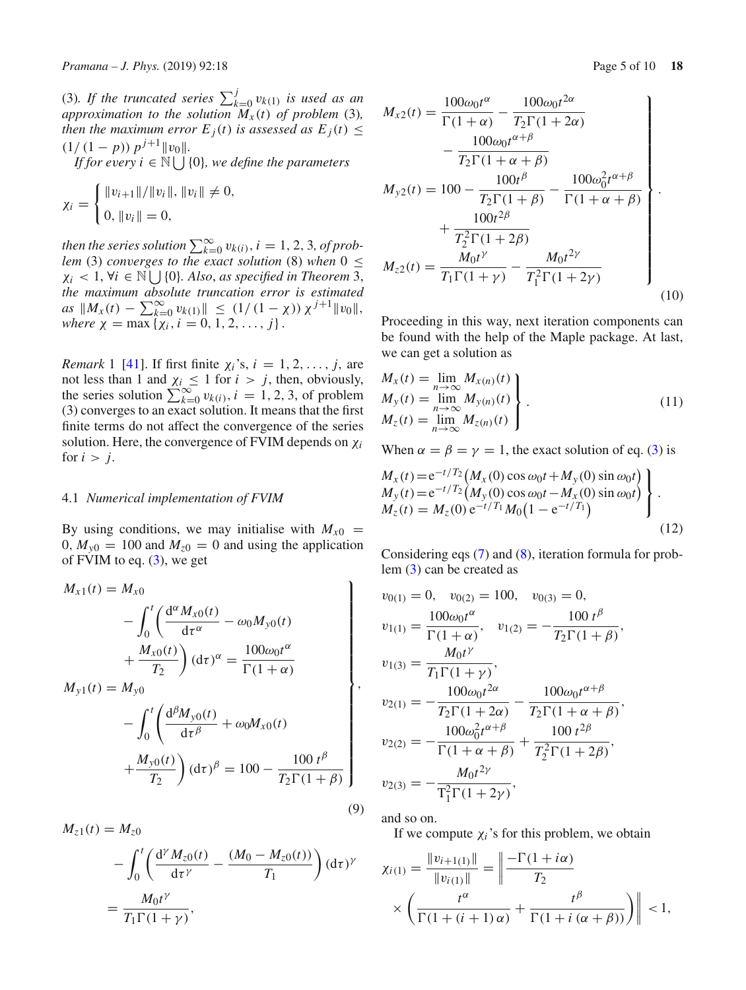(3)*. If the truncated series*  $\sum_{k=0}^{j} v_{k(1)}$  *is used as an approximation to the solution*  $\ddot{M}_x(t)$  *of problem* (3), *then the maximum error*  $E_i(t)$  *is assessed as*  $E_i(t) \leq$  $(1/(1-p)) p^{j+1} ||v_0||.$ 

*If for every*  $i \in \mathbb{N} \cup \{0\}$ *, we define the parameters* 

$$
\chi_i = \begin{cases} ||v_{i+1}||/||v_i||, ||v_i|| \neq 0, \\ 0, ||v_i|| = 0, \end{cases}
$$

*then the series solution*  $\sum_{k=0}^{\infty} v_{k(i)}$ ,  $i = 1, 2, 3$ , of prob*lem* (3) *converges to the exact solution* (8) *when*  $0 \le$  $\chi_i$  < 1,  $\forall i \in \mathbb{N} \bigcup \{0\}$ *. Also, as specified in Theorem* 3*, the maximum absolute truncation error is estimated*  $\lim_{t \to \infty} a s \, \|M_x(t) - \sum_{k=0}^{\infty} v_{k(1)}\| \leq (1/(1-\chi)) \, \chi^{j+1} \|v_0\|,$  $where \ \chi = \max \{ \chi_i, i = 0, 1, 2, \ldots, j \}.$ 

*Remark* 1 [\[41\]](#page-9-35). If first finite  $\chi_i$ 's,  $i = 1, 2, \ldots, j$ , are not less than 1 and  $\chi_i \leq 1$  for  $i > j$ , then, obviously, the series solution  $\sum_{k=0}^{\infty} v_{k(i)}$ ,  $i = 1, 2, 3$ , of problem (3) converges to an exact solution. It means that the first finite terms do not affect the convergence of the series solution. Here, the convergence of FVIM depends on χ*<sup>i</sup>* for  $i > j$ .

#### 4.1 *Numerical implementation of FVIM*

By using conditions, we may initialise with  $M_{x0}$  =  $0, M_{v0} = 100$  and  $M_{z0} = 0$  and using the application of FVIM to eq. [\(3\)](#page-1-1), we get

$$
M_{x1}(t) = M_{x0}
$$
  
\n
$$
- \int_0^t \left( \frac{d^{\alpha} M_{x0}(t)}{d\tau^{\alpha}} - \omega_0 M_{y0}(t) + \frac{M_{x0}(t)}{T_2} \right) (d\tau)^{\alpha} = \frac{100 \omega_0 t^{\alpha}}{\Gamma(1 + \alpha)}
$$
  
\n
$$
M_{y1}(t) = M_{y0}
$$
  
\n
$$
- \int_0^t \left( \frac{d^{\beta} M_{y0}(t)}{d\tau^{\beta}} + \omega_0 M_{x0}(t) + \frac{M_{y0}(t)}{T_2} \right) (d\tau)^{\beta} = 100 - \frac{100 t^{\beta}}{T_2 \Gamma(1 + \beta)}
$$
  
\n(9)

$$
M_{z1}(t) = M_{z0}
$$
  
-  $\int_0^t \left( \frac{d^{\gamma} M_{z0}(t)}{d\tau^{\gamma}} - \frac{(M_0 - M_{z0}(t))}{T_1} \right) (d\tau)^{\gamma}$   
=  $\frac{M_0 t^{\gamma}}{T_1 \Gamma(1 + \gamma)},$ 

$$
M_{x2}(t) = \frac{100\omega_0 t^{\alpha}}{\Gamma(1+\alpha)} - \frac{100\omega_0 t^{2\alpha}}{T_2 \Gamma(1+2\alpha)}
$$
  
\n
$$
- \frac{100\omega_0 t^{\alpha+\beta}}{T_2 \Gamma(1+\alpha+\beta)}
$$
  
\n
$$
M_{y2}(t) = 100 - \frac{100t^{\beta}}{T_2 \Gamma(1+\beta)} - \frac{100\omega_0^2 t^{\alpha+\beta}}{\Gamma(1+\alpha+\beta)}
$$
  
\n
$$
+ \frac{100t^{2\beta}}{T_2^2 \Gamma(1+2\beta)}
$$
  
\n
$$
M_{z2}(t) = \frac{M_0 t^{\gamma}}{T_1 \Gamma(1+\gamma)} - \frac{M_0 t^{2\gamma}}{T_1^2 \Gamma(1+2\gamma)}
$$
 (10)

Proceeding in this way, next iteration components can be found with the help of the Maple package. At last, we can get a solution as

$$
\begin{aligned}\nM_x(t) &= \lim_{n \to \infty} M_{x(n)}(t) \\
M_y(t) &= \lim_{n \to \infty} M_{y(n)}(t) \\
M_z(t) &= \lim_{n \to \infty} M_{z(n)}(t)\n\end{aligned} \tag{11}
$$

When  $\alpha = \beta = \gamma = 1$ , the exact solution of eq. [\(3\)](#page-1-1) is

$$
M_x(t) = e^{-t/T_2} (M_x(0) \cos \omega_0 t + M_y(0) \sin \omega_0 t) \nM_y(t) = e^{-t/T_2} (M_y(0) \cos \omega_0 t - M_x(0) \sin \omega_0 t) \nM_z(t) = M_z(0) e^{-t/T_1} M_0 (1 - e^{-t/T_1})
$$
\n(12)

Considering eqs [\(7\)](#page-3-1) and [\(8\)](#page-3-2), iteration formula for problem [\(3\)](#page-1-1) can be created as

$$
v_{0(1)} = 0, v_{0(2)} = 100, v_{0(3)} = 0,
$$
  
\n
$$
v_{1(1)} = \frac{100\omega_0 t^{\alpha}}{\Gamma(1 + \alpha)}, v_{1(2)} = -\frac{100 t^{\beta}}{T_2 \Gamma(1 + \beta)},
$$
  
\n
$$
v_{1(3)} = \frac{M_0 t^{\gamma}}{T_1 \Gamma(1 + \gamma)},
$$
  
\n
$$
v_{2(1)} = -\frac{100\omega_0 t^{2\alpha}}{T_2 \Gamma(1 + 2\alpha)} - \frac{100\omega_0 t^{\alpha + \beta}}{T_2 \Gamma(1 + \alpha + \beta)},
$$
  
\n
$$
v_{2(2)} = -\frac{100\omega_0^2 t^{\alpha + \beta}}{\Gamma(1 + \alpha + \beta)} + \frac{100 t^{2\beta}}{T_2^2 \Gamma(1 + 2\beta)},
$$
  
\n
$$
v_{2(3)} = -\frac{M_0 t^{2\gamma}}{\Gamma_1^2 \Gamma(1 + 2\gamma)},
$$

and so on.

If we compute  $\chi_i$ 's for this problem, we obtain

$$
\chi_{i(1)} = \frac{\|v_{i+1(1)}\|}{\|v_{i(1)}\|} = \left\| \frac{-\Gamma(1+i\alpha)}{T_2} \times \left( \frac{t^{\alpha}}{\Gamma(1+(i+1)\alpha)} + \frac{t^{\beta}}{\Gamma(1+i(\alpha+\beta))} \right) \right\| < 1,
$$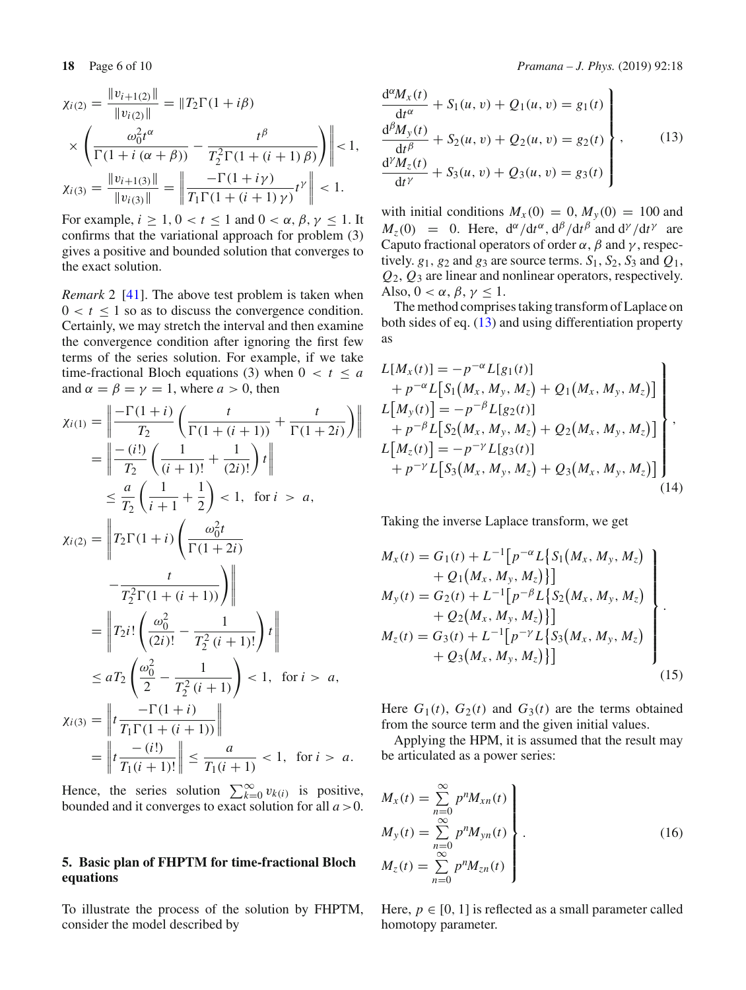$$
\chi_{i(2)} = \frac{\|v_{i+1(2)}\|}{\|v_{i(2)}\|} = \|T_2\Gamma(1+i\beta) \times \left(\frac{\omega_0^2 t^{\alpha}}{\Gamma(1+i(\alpha+\beta))} - \frac{t^{\beta}}{T_2^2\Gamma(1+(i+1)\beta)}\right) \le 1, \chi_{i(3)} = \frac{\|v_{i+1(3)}\|}{\|v_{i(3)}\|} = \left\|\frac{-\Gamma(1+i\gamma)}{T_1\Gamma(1+(i+1)\gamma)}t^{\gamma}\right\| < 1.
$$

For example,  $i \geq 1, 0 < t \leq 1$  and  $0 < \alpha, \beta, \gamma \leq 1$ . It confirms that the variational approach for problem (3) gives a positive and bounded solution that converges to the exact solution.

*Remark* 2 [\[41\]](#page-9-35). The above test problem is taken when  $0 < t \leq 1$  so as to discuss the convergence condition. Certainly, we may stretch the interval and then examine the convergence condition after ignoring the first few terms of the series solution. For example, if we take time-fractional Bloch equations (3) when  $0 < t \le a$ and  $\alpha = \beta = \gamma = 1$ , where  $a > 0$ , then

$$
\chi_{i(1)} = \left\| \frac{-\Gamma(1+i)}{T_2} \left( \frac{t}{\Gamma(1+(i+1))} + \frac{t}{\Gamma(1+2i)} \right) \right\|
$$
  
\n
$$
= \left\| \frac{-(i!)}{T_2} \left( \frac{1}{(i+1)!} + \frac{1}{(2i)!} \right) t \right\|
$$
  
\n
$$
\leq \frac{a}{T_2} \left( \frac{1}{i+1} + \frac{1}{2} \right) < 1, \text{ for } i > a,
$$
  
\n
$$
\chi_{i(2)} = \left\| T_2 \Gamma(1+i) \left( \frac{\omega_0^2 t}{\Gamma(1+2i)} - \frac{t}{T_2^2 \Gamma(1+(i+1))} \right) \right\|
$$
  
\n
$$
= \left\| T_2 i! \left( \frac{\omega_0^2}{(2i)!} - \frac{1}{T_2^2 (i+1)!} \right) t \right\|
$$
  
\n
$$
\leq aT_2 \left( \frac{\omega_0^2}{2} - \frac{1}{T_2^2 (i+1)} \right) < 1, \text{ for } i > a,
$$
  
\n
$$
\chi_{i(3)} = \left\| t \frac{-\Gamma(1+i)}{T_1 \Gamma(1+(i+1))} \right\|
$$
  
\n
$$
= \left\| t \frac{-\Gamma(1+i)}{T_1(i+1)!} \right\| \leq \frac{a}{T_1(i+1)} < 1, \text{ for } i > a.
$$

Hence, the series solution  $\sum_{k=0}^{\infty} v_{k(i)}$  is positive, bounded and it converges to exact solution for all *a* >0.

# **5. Basic plan of FHPTM for time-fractional Bloch equations**

To illustrate the process of the solution by FHPTM, consider the model described by

<span id="page-5-0"></span>
$$
\frac{d^{\alpha}M_{x}(t)}{dt^{\alpha}} + S_{1}(u, v) + Q_{1}(u, v) = g_{1}(t) \n\frac{d^{\beta}M_{y}(t)}{dt^{\beta}} + S_{2}(u, v) + Q_{2}(u, v) = g_{2}(t) \n\frac{d^{\gamma}M_{z}(t)}{dt^{\gamma}} + S_{3}(u, v) + Q_{3}(u, v) = g_{3}(t)
$$
\n(13)

with initial conditions  $M_X(0) = 0$ ,  $M_Y(0) = 100$  and  $M_z(0) = 0$ . Here,  $d^{\alpha}/dt^{\alpha}$ ,  $d^{\beta}/dt^{\beta}$  and  $d^{\gamma}/dt^{\gamma}$  are Caputo fractional operators of order  $\alpha$ ,  $\beta$  and  $\gamma$ , respectively.  $g_1$ ,  $g_2$  and  $g_3$  are source terms.  $S_1$ ,  $S_2$ ,  $S_3$  and  $Q_1$ , *Q*2, *Q*<sup>3</sup> are linear and nonlinear operators, respectively. Also,  $0 < \alpha$ ,  $\beta$ ,  $\gamma \leq 1$ .

The method comprises taking transform of Laplace on both sides of eq. [\(13\)](#page-5-0) and using differentiation property as

$$
L[M_x(t)] = -p^{-\alpha}L[g_1(t)]
$$
  
+  $p^{-\alpha}L[S_1(M_x, M_y, M_z) + Q_1(M_x, M_y, M_z)]$   
 $L[M_y(t)] = -p^{-\beta}L[g_2(t)]$   
+  $p^{-\beta}L[S_2(M_x, M_y, M_z) + Q_2(M_x, M_y, M_z)]$   
 $L[M_z(t)] = -p^{-\gamma}L[g_3(t)]$   
+  $p^{-\gamma}L[S_3(M_x, M_y, M_z) + Q_3(M_x, M_y, M_z)]$  (14)

Taking the inverse Laplace transform, we get

<span id="page-5-2"></span>
$$
M_x(t) = G_1(t) + L^{-1} [p^{-\alpha} L \{S_1(M_x, M_y, M_z) \}+ Q_1(M_x, M_y, M_z)\}]
$$
  
\n
$$
M_y(t) = G_2(t) + L^{-1} [p^{-\beta} L \{S_2(M_x, M_y, M_z) \}+ Q_2(M_x, M_y, M_z)\}]
$$
  
\n
$$
M_z(t) = G_3(t) + L^{-1} [p^{-\gamma} L \{S_3(M_x, M_y, M_z) \}+ Q_3(M_x, M_y, M_z)\}]
$$
\n(15)

Here  $G_1(t)$ ,  $G_2(t)$  and  $G_3(t)$  are the terms obtained from the source term and the given initial values.

Applying the HPM, it is assumed that the result may be articulated as a power series:

<span id="page-5-1"></span>
$$
M_x(t) = \sum_{n=0}^{\infty} p^n M_{xn}(t)
$$
  
\n
$$
M_y(t) = \sum_{n=0}^{\infty} p^n M_{yn}(t)
$$
  
\n
$$
M_z(t) = \sum_{n=0}^{\infty} p^n M_{zn}(t)
$$
\n(16)

Here,  $p \in [0, 1]$  is reflected as a small parameter called homotopy parameter.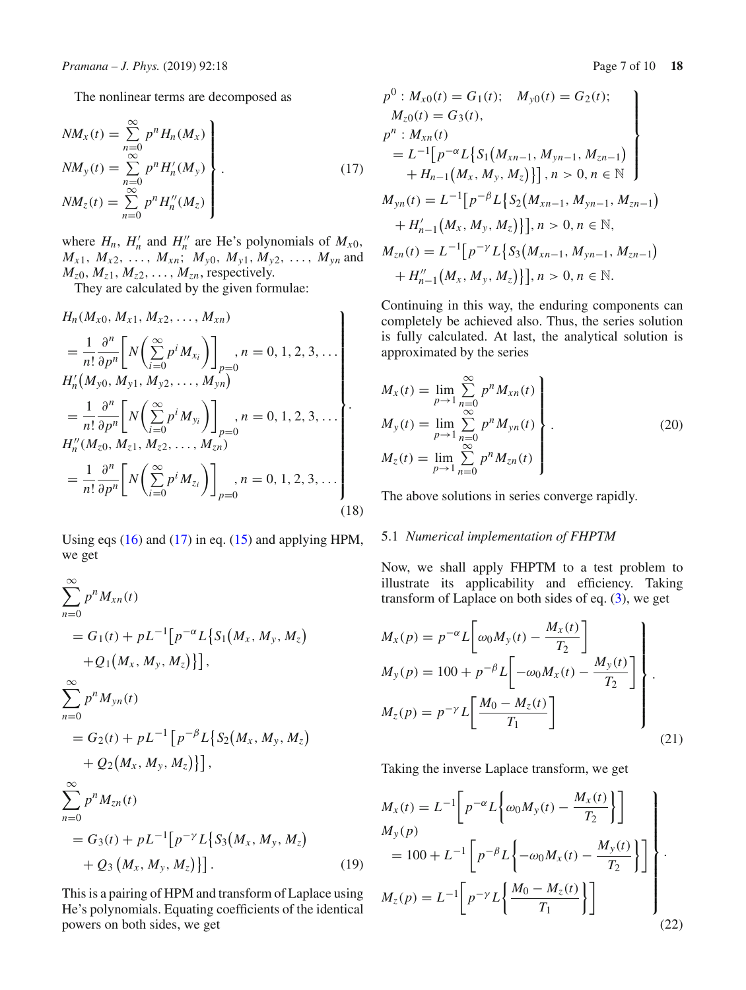The nonlinear terms are decomposed as

<span id="page-6-0"></span>
$$
NM_x(t) = \sum_{n=0}^{\infty} p^n H_n(M_x)
$$
  
\n
$$
NM_y(t) = \sum_{n=0}^{\infty} p^n H'_n(M_y)
$$
  
\n
$$
NM_z(t) = \sum_{n=0}^{\infty} p^n H''_n(M_z)
$$
\n(17)

where  $H_n$ ,  $H'_n$  and  $H''_n$  are He's polynomials of  $M_{x0}$ ,  $M_{x1}$ ,  $M_{x2}$ , ...,  $M_{xn}$ ;  $M_{y0}$ ,  $M_{y1}$ ,  $M_{y2}$ , ...,  $M_{yn}$  and  $M_{z0}, M_{z1}, M_{z2}, \ldots, M_{zn}$ , respectively.

They are calculated by the given formulae:

$$
H_n(M_{x0}, M_{x1}, M_{x2}, ..., M_{xn})
$$
  
\n
$$
= \frac{1}{n!} \frac{\partial^n}{\partial p^n} \left[ N \left( \sum_{i=0}^{\infty} p^i M_{x_i} \right) \right]_{p=0}, n = 0, 1, 2, 3, ...
$$
  
\n
$$
H'_n(M_{y0}, M_{y1}, M_{y2}, ..., M_{yn})
$$
  
\n
$$
= \frac{1}{n!} \frac{\partial^n}{\partial p^n} \left[ N \left( \sum_{i=0}^{\infty} p^i M_{y_i} \right) \right]_{p=0}, n = 0, 1, 2, 3, ...
$$
  
\n
$$
H''_n(M_{z0}, M_{z1}, M_{z2}, ..., M_{zn})
$$
  
\n
$$
= \frac{1}{n!} \frac{\partial^n}{\partial p^n} \left[ N \left( \sum_{i=0}^{\infty} p^i M_{z_i} \right) \right]_{p=0}, n = 0, 1, 2, 3, ...
$$
  
\n(18)

Using eqs  $(16)$  and  $(17)$  in eq.  $(15)$  and applying HPM, we get

$$
\sum_{n=0}^{\infty} p^n M_{xn}(t)
$$
  
=  $G_1(t) + pL^{-1}[p^{-\alpha}L\{S_1(M_x, M_y, M_z)\} + Q_1(M_x, M_y, M_z)\}]$ ,  

$$
\sum_{n=0}^{\infty} p^n M_{yn}(t)
$$
  
=  $G_2(t) + pL^{-1}[p^{-\beta}L\{S_2(M_x, M_y, M_z)\} + Q_2(M_x, M_y, M_z)\}]$ ,  

$$
\sum_{n=0}^{\infty} p^n M_{zn}(t)
$$
  
=  $G_3(t) + pL^{-1}[p^{-\gamma}L\{S_3(M_x, M_y, M_z)\} ]$ 

$$
+\,Q_3\left(M_x,M_y,M_z\right)\}\big].\tag{19}
$$

This is a pairing of HPM and transform of Laplace using He's polynomials. Equating coefficients of the identical powers on both sides, we get

$$
p^{0}: M_{x0}(t) = G_{1}(t); M_{y0}(t) = G_{2}(t);
$$
  
\n
$$
M_{z0}(t) = G_{3}(t),
$$
  
\n
$$
p^{n}: M_{xn}(t)
$$
  
\n
$$
= L^{-1}[p^{-\alpha}L\{S_{1}(M_{xn-1}, M_{yn-1}, M_{zn-1}) + H_{n-1}(M_{x}, M_{y}, M_{z})\}], n > 0, n \in \mathbb{N}
$$
  
\n
$$
M_{yn}(t) = L^{-1}[p^{-\beta}L\{S_{2}(M_{xn-1}, M_{yn-1}, M_{zn-1}) + H'_{n-1}(M_{x}, M_{y}, M_{z})\}], n > 0, n \in \mathbb{N},
$$
  
\n
$$
M_{zn}(t) = L^{-1}[p^{-\gamma}L\{S_{3}(M_{xn-1}, M_{yn-1}, M_{zn-1}) + H''_{n-1}(M_{x}, M_{y}, M_{z})\}], n > 0, n \in \mathbb{N}.
$$

Continuing in this way, the enduring components can completely be achieved also. Thus, the series solution is fully calculated. At last, the analytical solution is approximated by the series

$$
M_{x}(t) = \lim_{p \to 1} \sum_{n=0}^{\infty} p^{n} M_{xn}(t)
$$
  
\n
$$
M_{y}(t) = \lim_{p \to 1} \sum_{n=0}^{\infty} p^{n} M_{yn}(t)
$$
  
\n
$$
M_{z}(t) = \lim_{p \to 1} \sum_{n=0}^{\infty} p^{n} M_{zn}(t)
$$
\n(20)

The above solutions in series converge rapidly.

## 5.1 *Numerical implementation of FHPTM*

Now, we shall apply FHPTM to a test problem to illustrate its applicability and efficiency. Taking transform of Laplace on both sides of eq.  $(3)$ , we get

$$
M_x(p) = p^{-\alpha} L \left[ \omega_0 M_y(t) - \frac{M_x(t)}{T_2} \right]
$$
  
\n
$$
M_y(p) = 100 + p^{-\beta} L \left[ -\omega_0 M_x(t) - \frac{M_y(t)}{T_2} \right]
$$
  
\n
$$
M_z(p) = p^{-\gamma} L \left[ \frac{M_0 - M_z(t)}{T_1} \right]
$$
\n(21)

Taking the inverse Laplace transform, we get

$$
M_x(t) = L^{-1} \left[ p^{-\alpha} L \left\{ \omega_0 M_y(t) - \frac{M_x(t)}{T_2} \right\} \right]
$$
  
\n
$$
M_y(p)
$$
  
\n
$$
= 100 + L^{-1} \left[ p^{-\beta} L \left\{ -\omega_0 M_x(t) - \frac{M_y(t)}{T_2} \right\} \right]
$$
  
\n
$$
M_z(p) = L^{-1} \left[ p^{-\gamma} L \left\{ \frac{M_0 - M_z(t)}{T_1} \right\} \right]
$$
  
\n(22)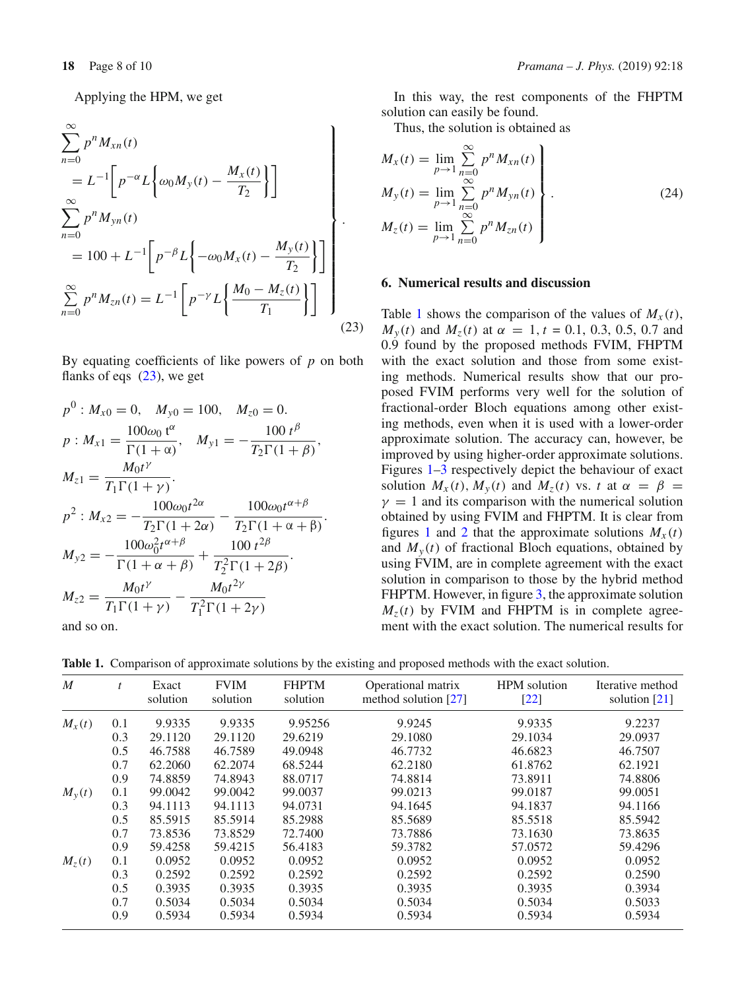Applying the HPM, we get

<span id="page-7-1"></span>
$$
\sum_{n=0}^{\infty} p^n M_{xn}(t)
$$
\n
$$
= L^{-1} \bigg[ p^{-\alpha} L \bigg\{ \omega_0 M_y(t) - \frac{M_x(t)}{T_2} \bigg\} \bigg]
$$
\n
$$
\sum_{n=0}^{\infty} p^n M_{yn}(t)
$$
\n
$$
= 100 + L^{-1} \bigg[ p^{-\beta} L \bigg\{ -\omega_0 M_x(t) - \frac{M_y(t)}{T_2} \bigg\} \bigg]
$$
\n
$$
\sum_{n=0}^{\infty} p^n M_{zn}(t) = L^{-1} \bigg[ p^{-\gamma} L \bigg\{ \frac{M_0 - M_z(t)}{T_1} \bigg\} \bigg]
$$
\n(23)

By equating coefficients of like powers of *p* on both flanks of eqs [\(23\)](#page-7-1), we get

$$
p^{0}: M_{x0} = 0, \quad M_{y0} = 100, \quad M_{z0} = 0.
$$
  
\n
$$
p: M_{x1} = \frac{100\omega_{0} t^{\alpha}}{\Gamma(1 + \alpha)}, \quad M_{y1} = -\frac{100 t^{\beta}}{T_{2} \Gamma(1 + \beta)},
$$
  
\n
$$
M_{z1} = \frac{M_{0}t^{\gamma}}{T_{1} \Gamma(1 + \gamma)}.
$$
  
\n
$$
p^{2}: M_{x2} = -\frac{100\omega_{0}t^{2\alpha}}{T_{2} \Gamma(1 + 2\alpha)} - \frac{100\omega_{0}t^{\alpha + \beta}}{T_{2} \Gamma(1 + \alpha + \beta)}.
$$
  
\n
$$
M_{y2} = -\frac{100\omega_{0}^{2}t^{\alpha + \beta}}{\Gamma(1 + \alpha + \beta)} + \frac{100 t^{2\beta}}{T_{2}^{2} \Gamma(1 + 2\beta)}.
$$
  
\n
$$
M_{z2} = \frac{M_{0}t^{\gamma}}{T_{1} \Gamma(1 + \gamma)} - \frac{M_{0}t^{2\gamma}}{T_{1}^{2} \Gamma(1 + 2\gamma)}
$$
  
\nand so on.

and so on.

In this way, the rest components of the FHPTM solution can easily be found.

Thus, the solution is obtained as

$$
M_{x}(t) = \lim_{p \to 1} \sum_{n=0}^{\infty} p^{n} M_{xn}(t)
$$
  
\n
$$
M_{y}(t) = \lim_{p \to 1} \sum_{n=0}^{\infty} p^{n} M_{yn}(t)
$$
  
\n
$$
M_{z}(t) = \lim_{p \to 1} \sum_{n=0}^{\infty} p^{n} M_{zn}(t)
$$
\n(24)

## <span id="page-7-0"></span>**6. Numerical results and discussion**

Table [1](#page-7-2) shows the comparison of the values of  $M<sub>x</sub>(t)$ , *M<sub>y</sub>*(*t*) and *M<sub>z</sub>*(*t*) at  $\alpha = 1$ ,  $t = 0.1, 0.3, 0.5, 0.7$  and 0.9 found by the proposed methods FVIM, FHPTM with the exact solution and those from some existing methods. Numerical results show that our proposed FVIM performs very well for the solution of fractional-order Bloch equations among other existing methods, even when it is used with a lower-order approximate solution. The accuracy can, however, be improved by using higher-order approximate solutions. Figures [1](#page-8-0)[–3](#page-8-1) respectively depict the behaviour of exact solution  $M_x(t)$ ,  $M_y(t)$  and  $M_z(t)$  vs. *t* at  $\alpha = \beta$  $\gamma = 1$  and its comparison with the numerical solution obtained by using FVIM and FHPTM. It is clear from figures [1](#page-8-0) and [2](#page-8-2) that the approximate solutions  $M_x(t)$ and  $M_{y}(t)$  of fractional Bloch equations, obtained by using FVIM, are in complete agreement with the exact solution in comparison to those by the hybrid method FHPTM. However, in figure [3,](#page-8-1) the approximate solution  $M<sub>z</sub>(t)$  by FVIM and FHPTM is in complete agreement with the exact solution. The numerical results for

<span id="page-7-2"></span>**Table 1.** Comparison of approximate solutions by the existing and proposed methods with the exact solution.

| $\boldsymbol{M}$ | $\mathbf{f}$ | Exact<br>solution | <b>FVIM</b><br>solution | <b>FHPTM</b><br>solution | Operational matrix<br>method solution $[27]$ | <b>HPM</b> solution<br>$[22]$ | Iterative method<br>solution $[21]$ |
|------------------|--------------|-------------------|-------------------------|--------------------------|----------------------------------------------|-------------------------------|-------------------------------------|
| $M_{x}(t)$       | 0.1          | 9.9335            | 9.9335                  | 9.95256                  | 9.9245                                       | 9.9335                        | 9.2237                              |
|                  | 0.3          | 29.1120           | 29.1120                 | 29.6219                  | 29.1080                                      | 29.1034                       | 29.0937                             |
|                  | 0.5          | 46.7588           | 46.7589                 | 49.0948                  | 46.7732                                      | 46.6823                       | 46.7507                             |
|                  | 0.7          | 62.2060           | 62.2074                 | 68.5244                  | 62.2180                                      | 61.8762                       | 62.1921                             |
|                  | 0.9          | 74.8859           | 74.8943                 | 88.0717                  | 74.8814                                      | 73.8911                       | 74.8806                             |
| $M_{y}(t)$       | 0.1          | 99.0042           | 99.0042                 | 99.0037                  | 99.0213                                      | 99.0187                       | 99.0051                             |
|                  | 0.3          | 94.1113           | 94.1113                 | 94.0731                  | 94.1645                                      | 94.1837                       | 94.1166                             |
|                  | 0.5          | 85.5915           | 85.5914                 | 85.2988                  | 85.5689                                      | 85.5518                       | 85.5942                             |
|                  | 0.7          | 73.8536           | 73.8529                 | 72.7400                  | 73.7886                                      | 73.1630                       | 73.8635                             |
|                  | 0.9          | 59.4258           | 59.4215                 | 56.4183                  | 59.3782                                      | 57.0572                       | 59.4296                             |
| $M_z(t)$         | 0.1          | 0.0952            | 0.0952                  | 0.0952                   | 0.0952                                       | 0.0952                        | 0.0952                              |
|                  | 0.3          | 0.2592            | 0.2592                  | 0.2592                   | 0.2592                                       | 0.2592                        | 0.2590                              |
|                  | 0.5          | 0.3935            | 0.3935                  | 0.3935                   | 0.3935                                       | 0.3935                        | 0.3934                              |
|                  | 0.7          | 0.5034            | 0.5034                  | 0.5034                   | 0.5034                                       | 0.5034                        | 0.5033                              |
|                  | 0.9          | 0.5934            | 0.5934                  | 0.5934                   | 0.5934                                       | 0.5934                        | 0.5934                              |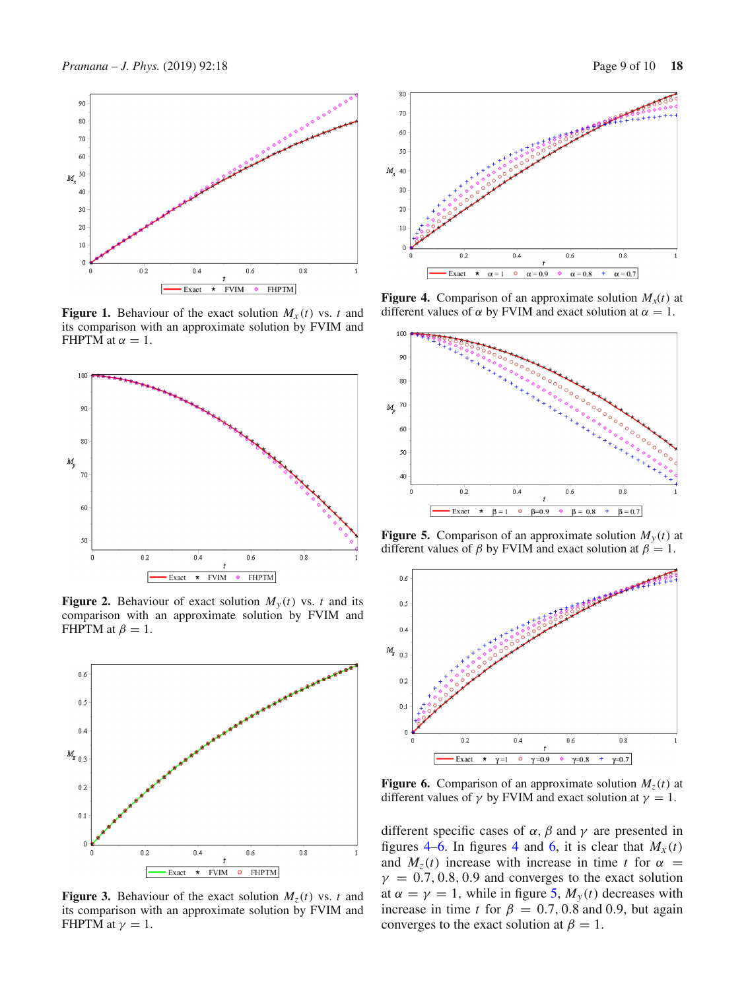

<span id="page-8-0"></span>**Figure 1.** Behaviour of the exact solution  $M_x(t)$  vs. *t* and its comparison with an approximate solution by FVIM and FHPTM at  $\alpha = 1$ .



<span id="page-8-2"></span>**Figure 2.** Behaviour of exact solution  $M_y(t)$  vs. *t* and its comparison with an approximate solution by FVIM and FHPTM at  $\beta = 1$ .



<span id="page-8-1"></span>**Figure 3.** Behaviour of the exact solution  $M_7(t)$  vs. *t* and its comparison with an approximate solution by FVIM and FHPTM at  $\gamma = 1$ .



<span id="page-8-3"></span>**Figure 4.** Comparison of an approximate solution  $M_x(t)$  at different values of  $\alpha$  by FVIM and exact solution at  $\alpha = 1$ .



<span id="page-8-5"></span>**Figure 5.** Comparison of an approximate solution  $M_y(t)$  at different values of  $\beta$  by FVIM and exact solution at  $\beta = 1$ .



<span id="page-8-4"></span>**Figure 6.** Comparison of an approximate solution  $M<sub>z</sub>(t)$  at different values of  $\gamma$  by FVIM and exact solution at  $\gamma = 1$ .

different specific cases of  $\alpha$ ,  $\beta$  and  $\gamma$  are presented in figures [4](#page-8-3)[–6.](#page-8-4) In figures 4 and [6,](#page-8-4) it is clear that  $M_x(t)$ and  $M_z(t)$  increase with increase in time t for  $\alpha$  $\gamma = 0.7, 0.8, 0.9$  and converges to the exact solution at  $\alpha = \gamma = 1$ , while in figure [5,](#page-8-5)  $M_y(t)$  decreases with increase in time *t* for  $\beta = 0.7, 0.8$  and 0.9, but again converges to the exact solution at  $\beta = 1$ .